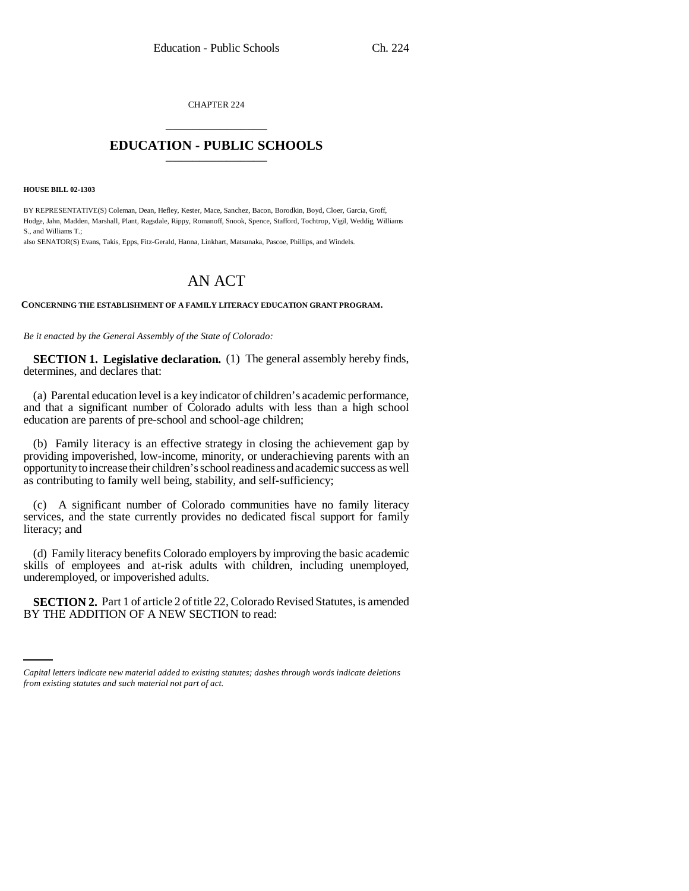CHAPTER 224 \_\_\_\_\_\_\_\_\_\_\_\_\_\_\_

## **EDUCATION - PUBLIC SCHOOLS** \_\_\_\_\_\_\_\_\_\_\_\_\_\_\_

**HOUSE BILL 02-1303**

BY REPRESENTATIVE(S) Coleman, Dean, Hefley, Kester, Mace, Sanchez, Bacon, Borodkin, Boyd, Cloer, Garcia, Groff, Hodge, Jahn, Madden, Marshall, Plant, Ragsdale, Rippy, Romanoff, Snook, Spence, Stafford, Tochtrop, Vigil, Weddig, Williams S., and Williams T.;

also SENATOR(S) Evans, Takis, Epps, Fitz-Gerald, Hanna, Linkhart, Matsunaka, Pascoe, Phillips, and Windels.

## AN ACT

## **CONCERNING THE ESTABLISHMENT OF A FAMILY LITERACY EDUCATION GRANT PROGRAM.**

*Be it enacted by the General Assembly of the State of Colorado:*

**SECTION 1. Legislative declaration.** (1) The general assembly hereby finds, determines, and declares that:

(a) Parental education level is a key indicator of children's academic performance, and that a significant number of Colorado adults with less than a high school education are parents of pre-school and school-age children;

(b) Family literacy is an effective strategy in closing the achievement gap by providing impoverished, low-income, minority, or underachieving parents with an opportunity to increase their children's school readiness and academic success as well as contributing to family well being, stability, and self-sufficiency;

(c) A significant number of Colorado communities have no family literacy services, and the state currently provides no dedicated fiscal support for family literacy; and

(d) Family literacy benefits Colorado employers by improving the basic academic skills of employees and at-risk adults with children, including unemployed, underemployed, or impoverished adults.

 **SECTION 2.** Part 1 of article 2 of title 22, Colorado Revised Statutes, is amended BY THE ADDITION OF A NEW SECTION to read:

*Capital letters indicate new material added to existing statutes; dashes through words indicate deletions from existing statutes and such material not part of act.*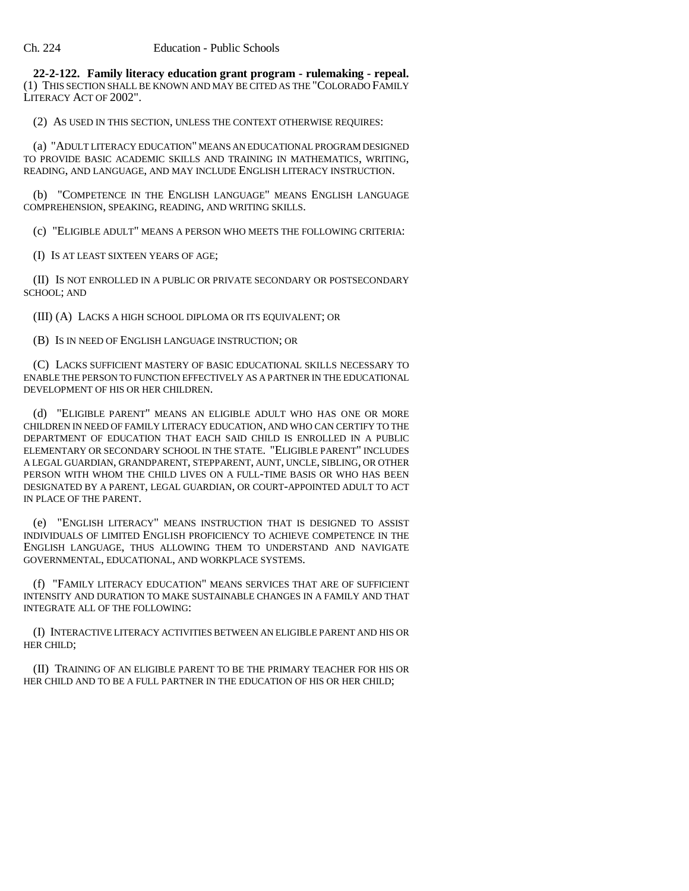**22-2-122. Family literacy education grant program - rulemaking - repeal.** (1) THIS SECTION SHALL BE KNOWN AND MAY BE CITED AS THE "COLORADO FAMILY LITERACY ACT OF 2002".

(2) AS USED IN THIS SECTION, UNLESS THE CONTEXT OTHERWISE REQUIRES:

(a) "ADULT LITERACY EDUCATION" MEANS AN EDUCATIONAL PROGRAM DESIGNED TO PROVIDE BASIC ACADEMIC SKILLS AND TRAINING IN MATHEMATICS, WRITING, READING, AND LANGUAGE, AND MAY INCLUDE ENGLISH LITERACY INSTRUCTION.

(b) "COMPETENCE IN THE ENGLISH LANGUAGE" MEANS ENGLISH LANGUAGE COMPREHENSION, SPEAKING, READING, AND WRITING SKILLS.

(c) "ELIGIBLE ADULT" MEANS A PERSON WHO MEETS THE FOLLOWING CRITERIA:

(I) IS AT LEAST SIXTEEN YEARS OF AGE;

(II) IS NOT ENROLLED IN A PUBLIC OR PRIVATE SECONDARY OR POSTSECONDARY SCHOOL; AND

(III) (A) LACKS A HIGH SCHOOL DIPLOMA OR ITS EQUIVALENT; OR

(B) IS IN NEED OF ENGLISH LANGUAGE INSTRUCTION; OR

(C) LACKS SUFFICIENT MASTERY OF BASIC EDUCATIONAL SKILLS NECESSARY TO ENABLE THE PERSON TO FUNCTION EFFECTIVELY AS A PARTNER IN THE EDUCATIONAL DEVELOPMENT OF HIS OR HER CHILDREN.

(d) "ELIGIBLE PARENT" MEANS AN ELIGIBLE ADULT WHO HAS ONE OR MORE CHILDREN IN NEED OF FAMILY LITERACY EDUCATION, AND WHO CAN CERTIFY TO THE DEPARTMENT OF EDUCATION THAT EACH SAID CHILD IS ENROLLED IN A PUBLIC ELEMENTARY OR SECONDARY SCHOOL IN THE STATE. "ELIGIBLE PARENT" INCLUDES A LEGAL GUARDIAN, GRANDPARENT, STEPPARENT, AUNT, UNCLE, SIBLING, OR OTHER PERSON WITH WHOM THE CHILD LIVES ON A FULL-TIME BASIS OR WHO HAS BEEN DESIGNATED BY A PARENT, LEGAL GUARDIAN, OR COURT-APPOINTED ADULT TO ACT IN PLACE OF THE PARENT.

(e) "ENGLISH LITERACY" MEANS INSTRUCTION THAT IS DESIGNED TO ASSIST INDIVIDUALS OF LIMITED ENGLISH PROFICIENCY TO ACHIEVE COMPETENCE IN THE ENGLISH LANGUAGE, THUS ALLOWING THEM TO UNDERSTAND AND NAVIGATE GOVERNMENTAL, EDUCATIONAL, AND WORKPLACE SYSTEMS.

(f) "FAMILY LITERACY EDUCATION" MEANS SERVICES THAT ARE OF SUFFICIENT INTENSITY AND DURATION TO MAKE SUSTAINABLE CHANGES IN A FAMILY AND THAT INTEGRATE ALL OF THE FOLLOWING:

(I) INTERACTIVE LITERACY ACTIVITIES BETWEEN AN ELIGIBLE PARENT AND HIS OR HER CHILD;

(II) TRAINING OF AN ELIGIBLE PARENT TO BE THE PRIMARY TEACHER FOR HIS OR HER CHILD AND TO BE A FULL PARTNER IN THE EDUCATION OF HIS OR HER CHILD;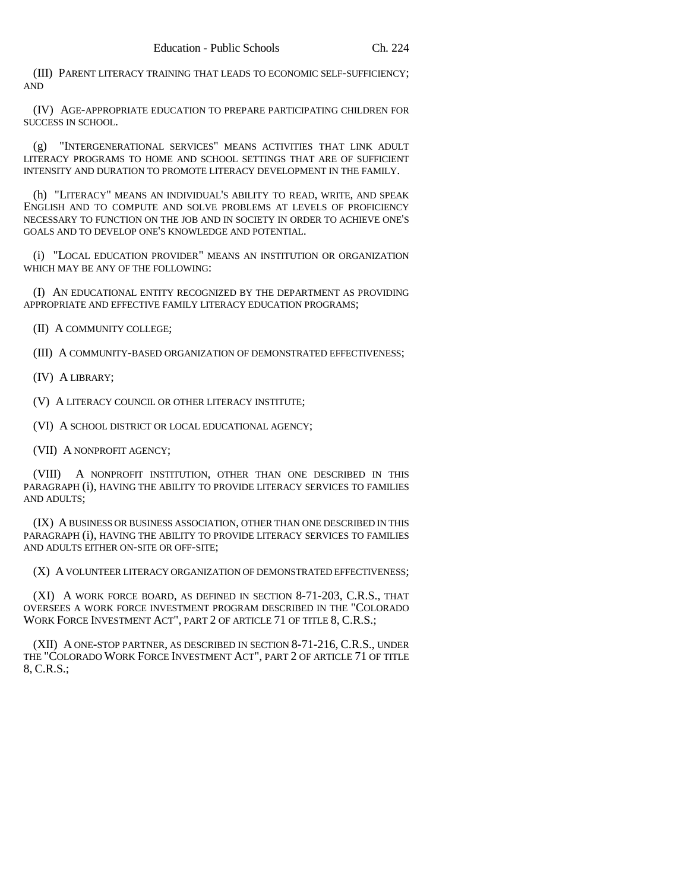(III) PARENT LITERACY TRAINING THAT LEADS TO ECONOMIC SELF-SUFFICIENCY; AND

(IV) AGE-APPROPRIATE EDUCATION TO PREPARE PARTICIPATING CHILDREN FOR SUCCESS IN SCHOOL.

(g) "INTERGENERATIONAL SERVICES" MEANS ACTIVITIES THAT LINK ADULT LITERACY PROGRAMS TO HOME AND SCHOOL SETTINGS THAT ARE OF SUFFICIENT INTENSITY AND DURATION TO PROMOTE LITERACY DEVELOPMENT IN THE FAMILY.

(h) "LITERACY" MEANS AN INDIVIDUAL'S ABILITY TO READ, WRITE, AND SPEAK ENGLISH AND TO COMPUTE AND SOLVE PROBLEMS AT LEVELS OF PROFICIENCY NECESSARY TO FUNCTION ON THE JOB AND IN SOCIETY IN ORDER TO ACHIEVE ONE'S GOALS AND TO DEVELOP ONE'S KNOWLEDGE AND POTENTIAL.

(i) "LOCAL EDUCATION PROVIDER" MEANS AN INSTITUTION OR ORGANIZATION WHICH MAY BE ANY OF THE FOLLOWING:

(I) AN EDUCATIONAL ENTITY RECOGNIZED BY THE DEPARTMENT AS PROVIDING APPROPRIATE AND EFFECTIVE FAMILY LITERACY EDUCATION PROGRAMS;

(II) A COMMUNITY COLLEGE;

(III) A COMMUNITY-BASED ORGANIZATION OF DEMONSTRATED EFFECTIVENESS;

(IV) A LIBRARY;

(V) A LITERACY COUNCIL OR OTHER LITERACY INSTITUTE;

(VI) A SCHOOL DISTRICT OR LOCAL EDUCATIONAL AGENCY;

(VII) A NONPROFIT AGENCY;

(VIII) A NONPROFIT INSTITUTION, OTHER THAN ONE DESCRIBED IN THIS PARAGRAPH (i), HAVING THE ABILITY TO PROVIDE LITERACY SERVICES TO FAMILIES AND ADULTS;

(IX) A BUSINESS OR BUSINESS ASSOCIATION, OTHER THAN ONE DESCRIBED IN THIS PARAGRAPH (i), HAVING THE ABILITY TO PROVIDE LITERACY SERVICES TO FAMILIES AND ADULTS EITHER ON-SITE OR OFF-SITE;

(X) A VOLUNTEER LITERACY ORGANIZATION OF DEMONSTRATED EFFECTIVENESS;

(XI) A WORK FORCE BOARD, AS DEFINED IN SECTION 8-71-203, C.R.S., THAT OVERSEES A WORK FORCE INVESTMENT PROGRAM DESCRIBED IN THE "COLORADO WORK FORCE INVESTMENT ACT", PART 2 OF ARTICLE 71 OF TITLE 8, C.R.S.;

(XII) A ONE-STOP PARTNER, AS DESCRIBED IN SECTION 8-71-216, C.R.S., UNDER THE "COLORADO WORK FORCE INVESTMENT ACT", PART 2 OF ARTICLE 71 OF TITLE 8, C.R.S.;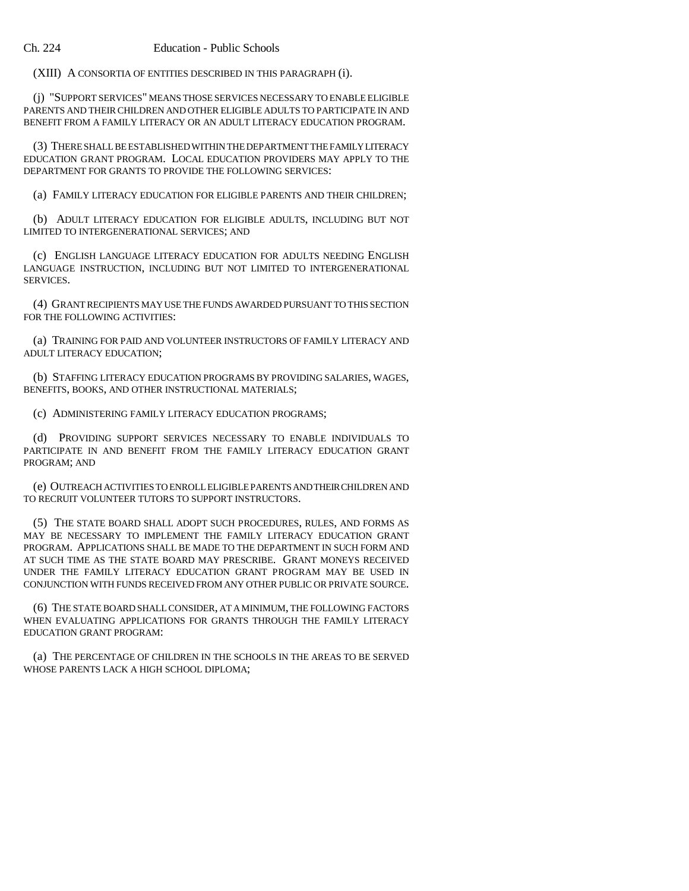(XIII) A CONSORTIA OF ENTITIES DESCRIBED IN THIS PARAGRAPH (i).

(j) "SUPPORT SERVICES" MEANS THOSE SERVICES NECESSARY TO ENABLE ELIGIBLE PARENTS AND THEIR CHILDREN AND OTHER ELIGIBLE ADULTS TO PARTICIPATE IN AND BENEFIT FROM A FAMILY LITERACY OR AN ADULT LITERACY EDUCATION PROGRAM.

(3) THERE SHALL BE ESTABLISHED WITHIN THE DEPARTMENT THE FAMILY LITERACY EDUCATION GRANT PROGRAM. LOCAL EDUCATION PROVIDERS MAY APPLY TO THE DEPARTMENT FOR GRANTS TO PROVIDE THE FOLLOWING SERVICES:

(a) FAMILY LITERACY EDUCATION FOR ELIGIBLE PARENTS AND THEIR CHILDREN;

(b) ADULT LITERACY EDUCATION FOR ELIGIBLE ADULTS, INCLUDING BUT NOT LIMITED TO INTERGENERATIONAL SERVICES; AND

(c) ENGLISH LANGUAGE LITERACY EDUCATION FOR ADULTS NEEDING ENGLISH LANGUAGE INSTRUCTION, INCLUDING BUT NOT LIMITED TO INTERGENERATIONAL SERVICES.

(4) GRANT RECIPIENTS MAY USE THE FUNDS AWARDED PURSUANT TO THIS SECTION FOR THE FOLLOWING ACTIVITIES:

(a) TRAINING FOR PAID AND VOLUNTEER INSTRUCTORS OF FAMILY LITERACY AND ADULT LITERACY EDUCATION;

(b) STAFFING LITERACY EDUCATION PROGRAMS BY PROVIDING SALARIES, WAGES, BENEFITS, BOOKS, AND OTHER INSTRUCTIONAL MATERIALS;

(c) ADMINISTERING FAMILY LITERACY EDUCATION PROGRAMS;

(d) PROVIDING SUPPORT SERVICES NECESSARY TO ENABLE INDIVIDUALS TO PARTICIPATE IN AND BENEFIT FROM THE FAMILY LITERACY EDUCATION GRANT PROGRAM; AND

(e) OUTREACH ACTIVITIES TO ENROLL ELIGIBLE PARENTS AND THEIR CHILDREN AND TO RECRUIT VOLUNTEER TUTORS TO SUPPORT INSTRUCTORS.

(5) THE STATE BOARD SHALL ADOPT SUCH PROCEDURES, RULES, AND FORMS AS MAY BE NECESSARY TO IMPLEMENT THE FAMILY LITERACY EDUCATION GRANT PROGRAM. APPLICATIONS SHALL BE MADE TO THE DEPARTMENT IN SUCH FORM AND AT SUCH TIME AS THE STATE BOARD MAY PRESCRIBE. GRANT MONEYS RECEIVED UNDER THE FAMILY LITERACY EDUCATION GRANT PROGRAM MAY BE USED IN CONJUNCTION WITH FUNDS RECEIVED FROM ANY OTHER PUBLIC OR PRIVATE SOURCE.

(6) THE STATE BOARD SHALL CONSIDER, AT A MINIMUM, THE FOLLOWING FACTORS WHEN EVALUATING APPLICATIONS FOR GRANTS THROUGH THE FAMILY LITERACY EDUCATION GRANT PROGRAM:

(a) THE PERCENTAGE OF CHILDREN IN THE SCHOOLS IN THE AREAS TO BE SERVED WHOSE PARENTS LACK A HIGH SCHOOL DIPLOMA;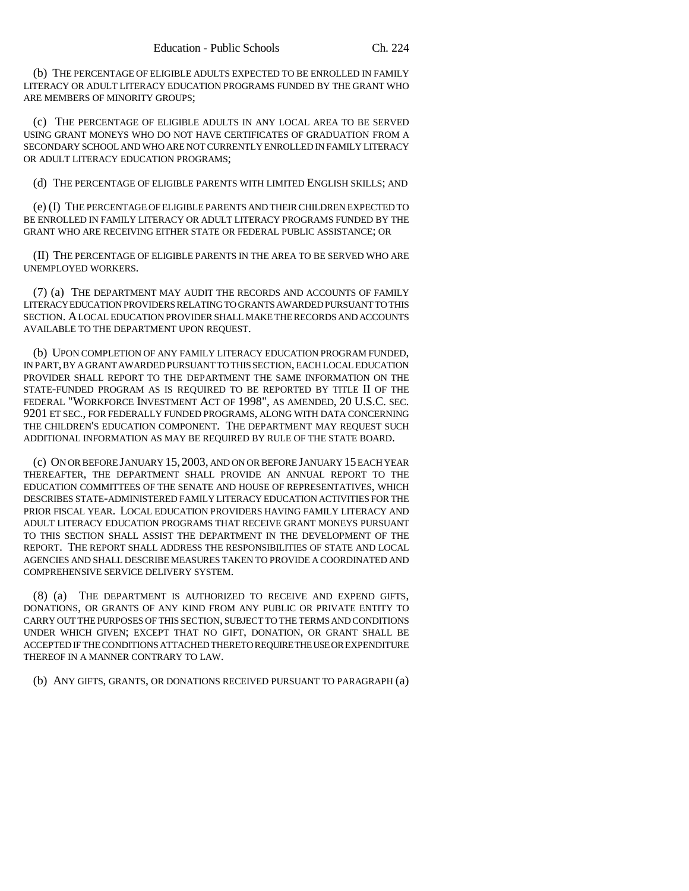(b) THE PERCENTAGE OF ELIGIBLE ADULTS EXPECTED TO BE ENROLLED IN FAMILY LITERACY OR ADULT LITERACY EDUCATION PROGRAMS FUNDED BY THE GRANT WHO ARE MEMBERS OF MINORITY GROUPS;

(c) THE PERCENTAGE OF ELIGIBLE ADULTS IN ANY LOCAL AREA TO BE SERVED USING GRANT MONEYS WHO DO NOT HAVE CERTIFICATES OF GRADUATION FROM A SECONDARY SCHOOL AND WHO ARE NOT CURRENTLY ENROLLED IN FAMILY LITERACY OR ADULT LITERACY EDUCATION PROGRAMS;

(d) THE PERCENTAGE OF ELIGIBLE PARENTS WITH LIMITED ENGLISH SKILLS; AND

(e) (I) THE PERCENTAGE OF ELIGIBLE PARENTS AND THEIR CHILDREN EXPECTED TO BE ENROLLED IN FAMILY LITERACY OR ADULT LITERACY PROGRAMS FUNDED BY THE GRANT WHO ARE RECEIVING EITHER STATE OR FEDERAL PUBLIC ASSISTANCE; OR

(II) THE PERCENTAGE OF ELIGIBLE PARENTS IN THE AREA TO BE SERVED WHO ARE UNEMPLOYED WORKERS.

(7) (a) THE DEPARTMENT MAY AUDIT THE RECORDS AND ACCOUNTS OF FAMILY LITERACY EDUCATION PROVIDERS RELATING TO GRANTS AWARDED PURSUANT TO THIS SECTION. A LOCAL EDUCATION PROVIDER SHALL MAKE THE RECORDS AND ACCOUNTS AVAILABLE TO THE DEPARTMENT UPON REQUEST.

(b) UPON COMPLETION OF ANY FAMILY LITERACY EDUCATION PROGRAM FUNDED, IN PART, BY A GRANT AWARDED PURSUANT TO THIS SECTION, EACH LOCAL EDUCATION PROVIDER SHALL REPORT TO THE DEPARTMENT THE SAME INFORMATION ON THE STATE-FUNDED PROGRAM AS IS REQUIRED TO BE REPORTED BY TITLE II OF THE FEDERAL "WORKFORCE INVESTMENT ACT OF 1998", AS AMENDED, 20 U.S.C. SEC. 9201 ET SEC., FOR FEDERALLY FUNDED PROGRAMS, ALONG WITH DATA CONCERNING THE CHILDREN'S EDUCATION COMPONENT. THE DEPARTMENT MAY REQUEST SUCH ADDITIONAL INFORMATION AS MAY BE REQUIRED BY RULE OF THE STATE BOARD.

(c) ON OR BEFORE JANUARY 15, 2003, AND ON OR BEFORE JANUARY 15 EACH YEAR THEREAFTER, THE DEPARTMENT SHALL PROVIDE AN ANNUAL REPORT TO THE EDUCATION COMMITTEES OF THE SENATE AND HOUSE OF REPRESENTATIVES, WHICH DESCRIBES STATE-ADMINISTERED FAMILY LITERACY EDUCATION ACTIVITIES FOR THE PRIOR FISCAL YEAR. LOCAL EDUCATION PROVIDERS HAVING FAMILY LITERACY AND ADULT LITERACY EDUCATION PROGRAMS THAT RECEIVE GRANT MONEYS PURSUANT TO THIS SECTION SHALL ASSIST THE DEPARTMENT IN THE DEVELOPMENT OF THE REPORT. THE REPORT SHALL ADDRESS THE RESPONSIBILITIES OF STATE AND LOCAL AGENCIES AND SHALL DESCRIBE MEASURES TAKEN TO PROVIDE A COORDINATED AND COMPREHENSIVE SERVICE DELIVERY SYSTEM.

(8) (a) THE DEPARTMENT IS AUTHORIZED TO RECEIVE AND EXPEND GIFTS, DONATIONS, OR GRANTS OF ANY KIND FROM ANY PUBLIC OR PRIVATE ENTITY TO CARRY OUT THE PURPOSES OF THIS SECTION, SUBJECT TO THE TERMS AND CONDITIONS UNDER WHICH GIVEN; EXCEPT THAT NO GIFT, DONATION, OR GRANT SHALL BE ACCEPTED IF THE CONDITIONS ATTACHED THERETO REQUIRE THE USE OR EXPENDITURE THEREOF IN A MANNER CONTRARY TO LAW.

(b) ANY GIFTS, GRANTS, OR DONATIONS RECEIVED PURSUANT TO PARAGRAPH (a)